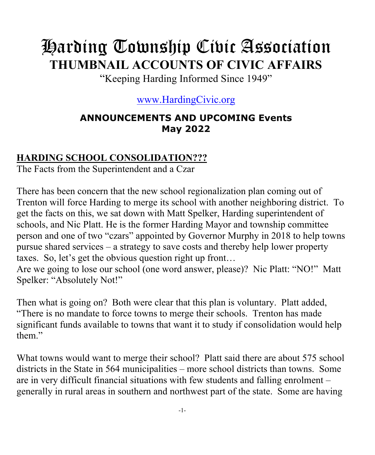# Harding Township Civic Association **THUMBNAIL ACCOUNTS OF CIVIC AFFAIRS**

"Keeping Harding Informed Since 1949"

#### www.HardingCivic.org

#### **ANNOUNCEMENTS AND UPCOMING Events May 2022**

#### **HARDING SCHOOL CONSOLIDATION???**

The Facts from the Superintendent and a Czar

There has been concern that the new school regionalization plan coming out of Trenton will force Harding to merge its school with another neighboring district. To get the facts on this, we sat down with Matt Spelker, Harding superintendent of schools, and Nic Platt. He is the former Harding Mayor and township committee person and one of two "czars" appointed by Governor Murphy in 2018 to help towns pursue shared services – a strategy to save costs and thereby help lower property taxes. So, let's get the obvious question right up front…

Are we going to lose our school (one word answer, please)? Nic Platt: "NO!" Matt Spelker: "Absolutely Not!"

Then what is going on? Both were clear that this plan is voluntary. Platt added, "There is no mandate to force towns to merge their schools. Trenton has made significant funds available to towns that want it to study if consolidation would help them."

What towns would want to merge their school? Platt said there are about 575 school districts in the State in 564 municipalities – more school districts than towns. Some are in very difficult financial situations with few students and falling enrolment – generally in rural areas in southern and northwest part of the state. Some are having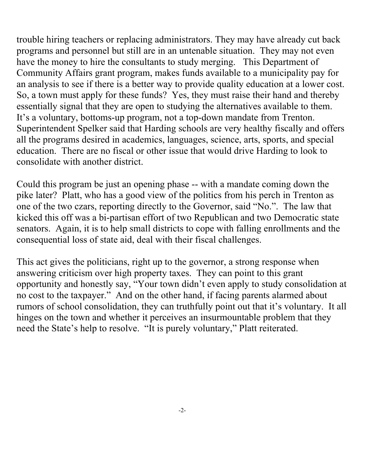trouble hiring teachers or replacing administrators. They may have already cut back programs and personnel but still are in an untenable situation. They may not even have the money to hire the consultants to study merging. This Department of Community Affairs grant program, makes funds available to a municipality pay for an analysis to see if there is a better way to provide quality education at a lower cost. So, a town must apply for these funds? Yes, they must raise their hand and thereby essentially signal that they are open to studying the alternatives available to them. It's a voluntary, bottoms-up program, not a top-down mandate from Trenton. Superintendent Spelker said that Harding schools are very healthy fiscally and offers all the programs desired in academics, languages, science, arts, sports, and special education. There are no fiscal or other issue that would drive Harding to look to consolidate with another district.

Could this program be just an opening phase -- with a mandate coming down the pike later? Platt, who has a good view of the politics from his perch in Trenton as one of the two czars, reporting directly to the Governor, said "No.". The law that kicked this off was a bi-partisan effort of two Republican and two Democratic state senators. Again, it is to help small districts to cope with falling enrollments and the consequential loss of state aid, deal with their fiscal challenges.

This act gives the politicians, right up to the governor, a strong response when answering criticism over high property taxes. They can point to this grant opportunity and honestly say, "Your town didn't even apply to study consolidation at no cost to the taxpayer." And on the other hand, if facing parents alarmed about rumors of school consolidation, they can truthfully point out that it's voluntary. It all hinges on the town and whether it perceives an insurmountable problem that they need the State's help to resolve. "It is purely voluntary," Platt reiterated.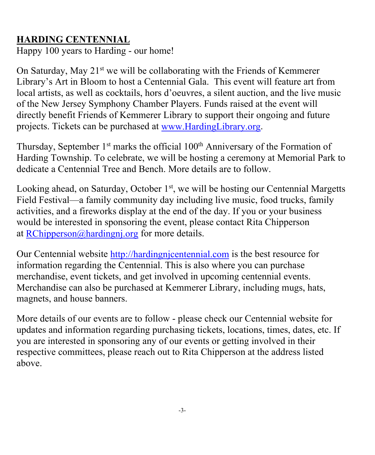#### **HARDING CENTENNIAL**

Happy 100 years to Harding - our home!

On Saturday, May  $21^{st}$  we will be collaborating with the Friends of Kemmerer Library's Art in Bloom to host a Centennial Gala. This event will feature art from local artists, as well as cocktails, hors d'oeuvres, a silent auction, and the live music of the New Jersey Symphony Chamber Players. Funds raised at the event will directly benefit Friends of Kemmerer Library to support their ongoing and future projects. Tickets can be purchased at www.HardingLibrary.org.

Thursday, September  $1<sup>st</sup>$  marks the official  $100<sup>th</sup>$  Anniversary of the Formation of Harding Township. To celebrate, we will be hosting a ceremony at Memorial Park to dedicate a Centennial Tree and Bench. More details are to follow.

Looking ahead, on Saturday, October  $1<sup>st</sup>$ , we will be hosting our Centennial Margetts Field Festival—a family community day including live music, food trucks, family activities, and a fireworks display at the end of the day. If you or your business would be interested in sponsoring the event, please contact Rita Chipperson at RChipperson@hardingnj.org for more details.

Our Centennial website http://hardingnjcentennial.com is the best resource for information regarding the Centennial. This is also where you can purchase merchandise, event tickets, and get involved in upcoming centennial events. Merchandise can also be purchased at Kemmerer Library, including mugs, hats, magnets, and house banners.

More details of our events are to follow - please check our Centennial website for updates and information regarding purchasing tickets, locations, times, dates, etc. If you are interested in sponsoring any of our events or getting involved in their respective committees, please reach out to Rita Chipperson at the address listed above.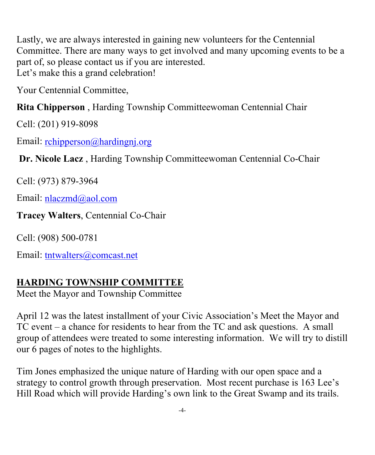Lastly, we are always interested in gaining new volunteers for the Centennial Committee. There are many ways to get involved and many upcoming events to be a part of, so please contact us if you are interested. Let's make this a grand celebration!

Your Centennial Committee,

**Rita Chipperson** , Harding Township Committeewoman Centennial Chair

Cell: (201) 919-8098

Email: rchipperson@hardingnj.org

**Dr. Nicole Lacz** , Harding Township Committeewoman Centennial Co-Chair

Cell: (973) 879-3964

Email: nlaczmd@aol.com

**Tracey Walters**, Centennial Co-Chair

Cell: (908) 500-0781

Email: tntwalters@comcast.net

#### **HARDING TOWNSHIP COMMITTEE**

Meet the Mayor and Township Committee

April 12 was the latest installment of your Civic Association's Meet the Mayor and TC event – a chance for residents to hear from the TC and ask questions. A small group of attendees were treated to some interesting information. We will try to distill our 6 pages of notes to the highlights.

Tim Jones emphasized the unique nature of Harding with our open space and a strategy to control growth through preservation. Most recent purchase is 163 Lee's Hill Road which will provide Harding's own link to the Great Swamp and its trails.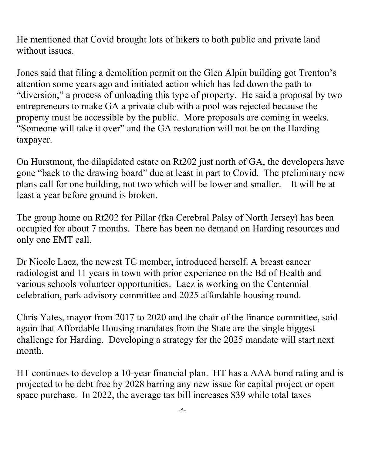He mentioned that Covid brought lots of hikers to both public and private land without issues.

Jones said that filing a demolition permit on the Glen Alpin building got Trenton's attention some years ago and initiated action which has led down the path to "diversion," a process of unloading this type of property. He said a proposal by two entrepreneurs to make GA a private club with a pool was rejected because the property must be accessible by the public. More proposals are coming in weeks. "Someone will take it over" and the GA restoration will not be on the Harding taxpayer.

On Hurstmont, the dilapidated estate on Rt202 just north of GA, the developers have gone "back to the drawing board" due at least in part to Covid. The preliminary new plans call for one building, not two which will be lower and smaller. It will be at least a year before ground is broken.

The group home on Rt202 for Pillar (fka Cerebral Palsy of North Jersey) has been occupied for about 7 months. There has been no demand on Harding resources and only one EMT call.

Dr Nicole Lacz, the newest TC member, introduced herself. A breast cancer radiologist and 11 years in town with prior experience on the Bd of Health and various schools volunteer opportunities. Lacz is working on the Centennial celebration, park advisory committee and 2025 affordable housing round.

Chris Yates, mayor from 2017 to 2020 and the chair of the finance committee, said again that Affordable Housing mandates from the State are the single biggest challenge for Harding. Developing a strategy for the 2025 mandate will start next month.

HT continues to develop a 10-year financial plan. HT has a AAA bond rating and is projected to be debt free by 2028 barring any new issue for capital project or open space purchase. In 2022, the average tax bill increases \$39 while total taxes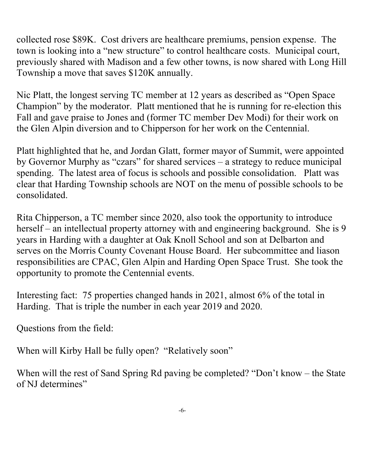collected rose \$89K. Cost drivers are healthcare premiums, pension expense. The town is looking into a "new structure" to control healthcare costs. Municipal court, previously shared with Madison and a few other towns, is now shared with Long Hill Township a move that saves \$120K annually.

Nic Platt, the longest serving TC member at 12 years as described as "Open Space Champion" by the moderator. Platt mentioned that he is running for re-election this Fall and gave praise to Jones and (former TC member Dev Modi) for their work on the Glen Alpin diversion and to Chipperson for her work on the Centennial.

Platt highlighted that he, and Jordan Glatt, former mayor of Summit, were appointed by Governor Murphy as "czars" for shared services – a strategy to reduce municipal spending. The latest area of focus is schools and possible consolidation. Platt was clear that Harding Township schools are NOT on the menu of possible schools to be consolidated.

Rita Chipperson, a TC member since 2020, also took the opportunity to introduce herself – an intellectual property attorney with and engineering background. She is 9 years in Harding with a daughter at Oak Knoll School and son at Delbarton and serves on the Morris County Covenant House Board. Her subcommittee and liason responsibilities are CPAC, Glen Alpin and Harding Open Space Trust. She took the opportunity to promote the Centennial events.

Interesting fact: 75 properties changed hands in 2021, almost 6% of the total in Harding. That is triple the number in each year 2019 and 2020.

Questions from the field:

When will Kirby Hall be fully open? "Relatively soon"

When will the rest of Sand Spring Rd paving be completed? "Don't know – the State of NJ determines"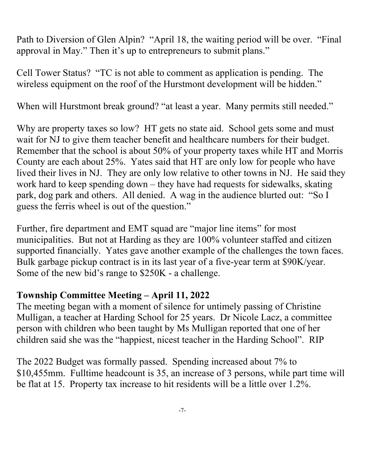Path to Diversion of Glen Alpin? "April 18, the waiting period will be over. "Final approval in May." Then it's up to entrepreneurs to submit plans."

Cell Tower Status? "TC is not able to comment as application is pending. The wireless equipment on the roof of the Hurstmont development will be hidden."

When will Hurstmont break ground? "at least a year. Many permits still needed."

Why are property taxes so low? HT gets no state aid. School gets some and must wait for NJ to give them teacher benefit and healthcare numbers for their budget. Remember that the school is about 50% of your property taxes while HT and Morris County are each about 25%. Yates said that HT are only low for people who have lived their lives in NJ. They are only low relative to other towns in NJ. He said they work hard to keep spending down – they have had requests for sidewalks, skating park, dog park and others. All denied. A wag in the audience blurted out: "So I guess the ferris wheel is out of the question."

Further, fire department and EMT squad are "major line items" for most municipalities. But not at Harding as they are 100% volunteer staffed and citizen supported financially. Yates gave another example of the challenges the town faces. Bulk garbage pickup contract is in its last year of a five-year term at \$90K/year. Some of the new bid's range to \$250K - a challenge.

#### **Township Committee Meeting – April 11, 2022**

The meeting began with a moment of silence for untimely passing of Christine Mulligan, a teacher at Harding School for 25 years. Dr Nicole Lacz, a committee person with children who been taught by Ms Mulligan reported that one of her children said she was the "happiest, nicest teacher in the Harding School". RIP

The 2022 Budget was formally passed. Spending increased about 7% to \$10,455mm. Fulltime headcount is 35, an increase of 3 persons, while part time will be flat at 15. Property tax increase to hit residents will be a little over 1.2%.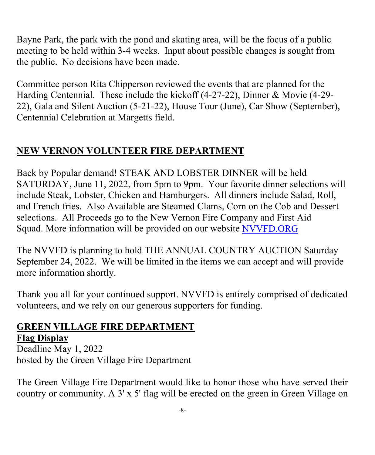Bayne Park, the park with the pond and skating area, will be the focus of a public meeting to be held within 3-4 weeks. Input about possible changes is sought from the public. No decisions have been made.

Committee person Rita Chipperson reviewed the events that are planned for the Harding Centennial. These include the kickoff (4-27-22), Dinner & Movie (4-29- 22), Gala and Silent Auction (5-21-22), House Tour (June), Car Show (September), Centennial Celebration at Margetts field.

#### **NEW VERNON VOLUNTEER FIRE DEPARTMENT**

Back by Popular demand! STEAK AND LOBSTER DINNER will be held SATURDAY, June 11, 2022, from 5pm to 9pm. Your favorite dinner selections will include Steak, Lobster, Chicken and Hamburgers. All dinners include Salad, Roll, and French fries. Also Available are Steamed Clams, Corn on the Cob and Dessert selections. All Proceeds go to the New Vernon Fire Company and First Aid Squad. More information will be provided on our website NVVFD.ORG

The NVVFD is planning to hold THE ANNUAL COUNTRY AUCTION Saturday September 24, 2022. We will be limited in the items we can accept and will provide more information shortly.

Thank you all for your continued support. NVVFD is entirely comprised of dedicated volunteers, and we rely on our generous supporters for funding.

#### **GREEN VILLAGE FIRE DEPARTMENT Flag Display**

Deadline May 1, 2022 hosted by the Green Village Fire Department

The Green Village Fire Department would like to honor those who have served their country or community. A 3' x 5' flag will be erected on the green in Green Village on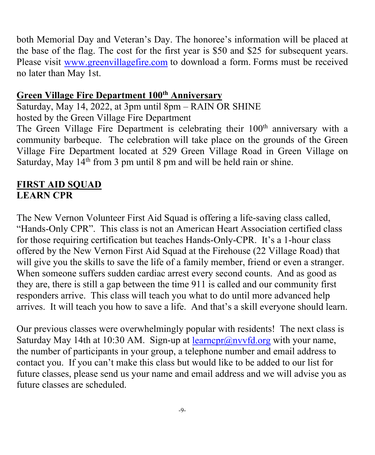both Memorial Day and Veteran's Day. The honoree's information will be placed at the base of the flag. The cost for the first year is \$50 and \$25 for subsequent years. Please visit www.greenvillagefire.com to download a form. Forms must be received no later than May 1st.

#### **Green Village Fire Department 100th Anniversary**

Saturday, May 14, 2022, at 3pm until 8pm – RAIN OR SHINE hosted by the Green Village Fire Department

The Green Village Fire Department is celebrating their 100<sup>th</sup> anniversary with a community barbeque. The celebration will take place on the grounds of the Green Village Fire Department located at 529 Green Village Road in Green Village on Saturday, May  $14<sup>th</sup>$  from 3 pm until 8 pm and will be held rain or shine.

#### **FIRST AID SQUAD LEARN CPR**

The New Vernon Volunteer First Aid Squad is offering a life-saving class called, "Hands-Only CPR". This class is not an American Heart Association certified class for those requiring certification but teaches Hands-Only-CPR. It's a 1-hour class offered by the New Vernon First Aid Squad at the Firehouse (22 Village Road) that will give you the skills to save the life of a family member, friend or even a stranger. When someone suffers sudden cardiac arrest every second counts. And as good as they are, there is still a gap between the time 911 is called and our community first responders arrive. This class will teach you what to do until more advanced help arrives. It will teach you how to save a life. And that's a skill everyone should learn.

Our previous classes were overwhelmingly popular with residents! The next class is Saturday May 14th at 10:30 AM. Sign-up at  $\frac{\text{learner}(a)$ nvvfd.org with your name, the number of participants in your group, a telephone number and email address to contact you. If you can't make this class but would like to be added to our list for future classes, please send us your name and email address and we will advise you as future classes are scheduled.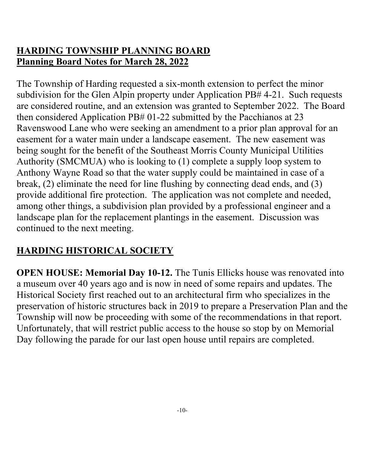#### **HARDING TOWNSHIP PLANNING BOARD Planning Board Notes for March 28, 2022**

The Township of Harding requested a six-month extension to perfect the minor subdivision for the Glen Alpin property under Application PB# 4-21. Such requests are considered routine, and an extension was granted to September 2022. The Board then considered Application PB# 01-22 submitted by the Pacchianos at 23 Ravenswood Lane who were seeking an amendment to a prior plan approval for an easement for a water main under a landscape easement. The new easement was being sought for the benefit of the Southeast Morris County Municipal Utilities Authority (SMCMUA) who is looking to (1) complete a supply loop system to Anthony Wayne Road so that the water supply could be maintained in case of a break, (2) eliminate the need for line flushing by connecting dead ends, and (3) provide additional fire protection. The application was not complete and needed, among other things, a subdivision plan provided by a professional engineer and a landscape plan for the replacement plantings in the easement. Discussion was continued to the next meeting.

#### **HARDING HISTORICAL SOCIETY**

**OPEN HOUSE: Memorial Day 10-12.** The Tunis Ellicks house was renovated into a museum over 40 years ago and is now in need of some repairs and updates. The Historical Society first reached out to an architectural firm who specializes in the preservation of historic structures back in 2019 to prepare a Preservation Plan and the Township will now be proceeding with some of the recommendations in that report. Unfortunately, that will restrict public access to the house so stop by on Memorial Day following the parade for our last open house until repairs are completed.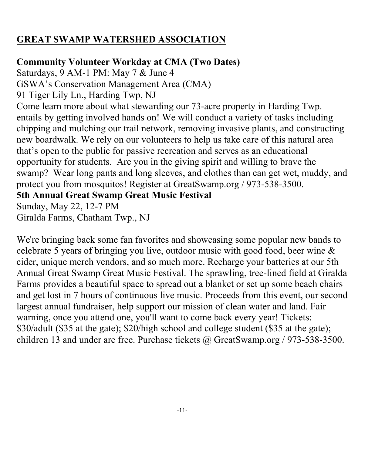#### **GREAT SWAMP WATERSHED ASSOCIATION**

#### **Community Volunteer Workday at CMA (Two Dates)**

Saturdays, 9 AM-1 PM: May 7 & June 4

GSWA's Conservation Management Area (CMA)

91 Tiger Lily Ln., Harding Twp, NJ

Come learn more about what stewarding our 73-acre property in Harding Twp. entails by getting involved hands on! We will conduct a variety of tasks including chipping and mulching our trail network, removing invasive plants, and constructing new boardwalk. We rely on our volunteers to help us take care of this natural area that's open to the public for passive recreation and serves as an educational opportunity for students. Are you in the giving spirit and willing to brave the swamp? Wear long pants and long sleeves, and clothes than can get wet, muddy, and protect you from mosquitos! Register at GreatSwamp.org / 973-538-3500.

**5th Annual Great Swamp Great Music Festival**

Sunday, May 22, 12-7 PM Giralda Farms, Chatham Twp., NJ

We're bringing back some fan favorites and showcasing some popular new bands to celebrate 5 years of bringing you live, outdoor music with good food, beer wine & cider, unique merch vendors, and so much more. Recharge your batteries at our 5th Annual Great Swamp Great Music Festival. The sprawling, tree-lined field at Giralda Farms provides a beautiful space to spread out a blanket or set up some beach chairs and get lost in 7 hours of continuous live music. Proceeds from this event, our second largest annual fundraiser, help support our mission of clean water and land. Fair warning, once you attend one, you'll want to come back every year! Tickets: \$30/adult (\$35 at the gate); \$20/high school and college student (\$35 at the gate); children 13 and under are free. Purchase tickets @ GreatSwamp.org / 973-538-3500.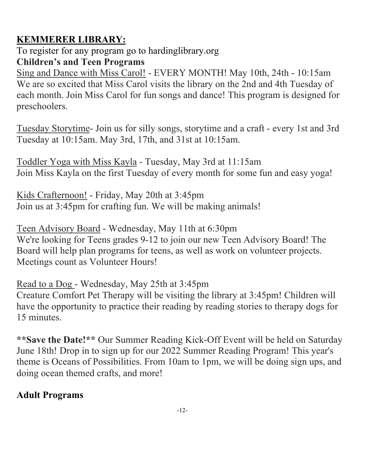#### **KEMMERER LIBRARY:**

To register for any program go to hardinglibrary.org **Children's and Teen Programs** 

Sing and Dance with Miss Carol! - EVERY MONTH! May 10th, 24th - 10:15am We are so excited that Miss Carol visits the library on the 2nd and 4th Tuesday of each month. Join Miss Carol for fun songs and dance! This program is designed for preschoolers.

Tuesday Storytime- Join us for silly songs, storytime and a craft - every 1st and 3rd Tuesday at 10:15am. May 3rd, 17th, and 31st at 10:15am.

Toddler Yoga with Miss Kayla - Tuesday, May 3rd at 11:15am Join Miss Kayla on the first Tuesday of every month for some fun and easy yoga!

Kids Crafternoon! - Friday, May 20th at 3:45pm Join us at 3:45pm for crafting fun. We will be making animals!

Teen Advisory Board - Wednesday, May 11th at 6:30pm We're looking for Teens grades 9-12 to join our new Teen Advisory Board! The Board will help plan programs for teens, as well as work on volunteer projects. Meetings count as Volunteer Hours!

Read to a Dog - Wednesday, May 25th at 3:45pm Creature Comfort Pet Therapy will be visiting the library at 3:45pm! Children will have the opportunity to practice their reading by reading stories to therapy dogs for 15 minutes.

**\*\*Save the Date!\*\*** Our Summer Reading Kick-Off Event will be held on Saturday June 18th! Drop in to sign up for our 2022 Summer Reading Program! This year's theme is Oceans of Possibilities. From 10am to 1pm, we will be doing sign ups, and doing ocean themed crafts, and more!

#### **Adult Programs**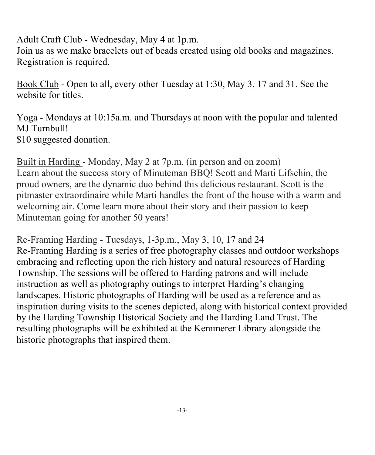#### Adult Craft Club - Wednesday, May 4 at 1p.m.

Join us as we make bracelets out of beads created using old books and magazines. Registration is required.

Book Club - Open to all, every other Tuesday at 1:30, May 3, 17 and 31. See the website for titles.

Yoga - Mondays at 10:15a.m. and Thursdays at noon with the popular and talented MJ Turnbull! \$10 suggested donation.

Built in Harding - Monday, May 2 at 7p.m. (in person and on zoom) Learn about the success story of Minuteman BBQ! Scott and Marti Lifschin, the proud owners, are the dynamic duo behind this delicious restaurant. Scott is the pitmaster extraordinaire while Marti handles the front of the house with a warm and welcoming air. Come learn more about their story and their passion to keep Minuteman going for another 50 years!

Re-Framing Harding - Tuesdays, 1-3p.m., May 3, 10, 17 and 24 Re-Framing Harding is a series of free photography classes and outdoor workshops embracing and reflecting upon the rich history and natural resources of Harding Township. The sessions will be offered to Harding patrons and will include instruction as well as photography outings to interpret Harding's changing landscapes. Historic photographs of Harding will be used as a reference and as inspiration during visits to the scenes depicted, along with historical context provided by the Harding Township Historical Society and the Harding Land Trust. The resulting photographs will be exhibited at the Kemmerer Library alongside the historic photographs that inspired them.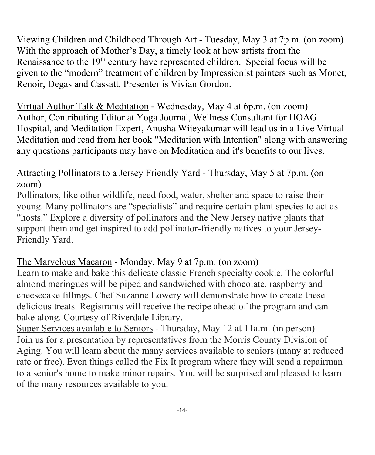Viewing Children and Childhood Through Art - Tuesday, May 3 at 7p.m. (on zoom) With the approach of Mother's Day, a timely look at how artists from the Renaissance to the 19<sup>th</sup> century have represented children. Special focus will be given to the "modern" treatment of children by Impressionist painters such as Monet, Renoir, Degas and Cassatt. Presenter is Vivian Gordon.

Virtual Author Talk & Meditation - Wednesday, May 4 at 6p.m. (on zoom) Author, Contributing Editor at Yoga Journal, Wellness Consultant for HOAG Hospital, and Meditation Expert, Anusha Wijeyakumar will lead us in a Live Virtual Meditation and read from her book "Meditation with Intention" along with answering any questions participants may have on Meditation and it's benefits to our lives.

#### Attracting Pollinators to a Jersey Friendly Yard - Thursday, May 5 at 7p.m. (on zoom)

Pollinators, like other wildlife, need food, water, shelter and space to raise their young. Many pollinators are "specialists" and require certain plant species to act as "hosts." Explore a diversity of pollinators and the New Jersey native plants that support them and get inspired to add pollinator-friendly natives to your Jersey-Friendly Yard.

#### The Marvelous Macaron - Monday, May 9 at 7p.m. (on zoom)

Learn to make and bake this delicate classic French specialty cookie. The colorful almond meringues will be piped and sandwiched with chocolate, raspberry and cheesecake fillings. Chef Suzanne Lowery will demonstrate how to create these delicious treats. Registrants will receive the recipe ahead of the program and can bake along. Courtesy of Riverdale Library.

Super Services available to Seniors - Thursday, May 12 at 11a.m. (in person) Join us for a presentation by representatives from the Morris County Division of Aging. You will learn about the many services available to seniors (many at reduced rate or free). Even things called the Fix It program where they will send a repairman to a senior's home to make minor repairs. You will be surprised and pleased to learn of the many resources available to you.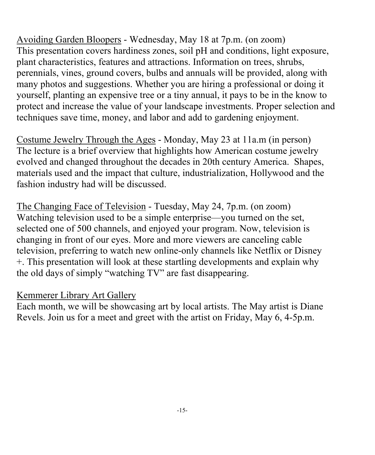Avoiding Garden Bloopers - Wednesday, May 18 at 7p.m. (on zoom) This presentation covers hardiness zones, soil pH and conditions, light exposure, plant characteristics, features and attractions. Information on trees, shrubs, perennials, vines, ground covers, bulbs and annuals will be provided, along with many photos and suggestions. Whether you are hiring a professional or doing it yourself, planting an expensive tree or a tiny annual, it pays to be in the know to protect and increase the value of your landscape investments. Proper selection and techniques save time, money, and labor and add to gardening enjoyment.

Costume Jewelry Through the Ages - Monday, May 23 at 11a.m (in person) The lecture is a brief overview that highlights how American costume jewelry evolved and changed throughout the decades in 20th century America. Shapes, materials used and the impact that culture, industrialization, Hollywood and the fashion industry had will be discussed.

The Changing Face of Television - Tuesday, May 24, 7p.m. (on zoom) Watching television used to be a simple enterprise—you turned on the set, selected one of 500 channels, and enjoyed your program. Now, television is changing in front of our eyes. More and more viewers are canceling cable television, preferring to watch new online-only channels like Netflix or Disney +. This presentation will look at these startling developments and explain why the old days of simply "watching TV" are fast disappearing.

#### Kemmerer Library Art Gallery

Each month, we will be showcasing art by local artists. The May artist is Diane Revels. Join us for a meet and greet with the artist on Friday, May 6, 4-5p.m.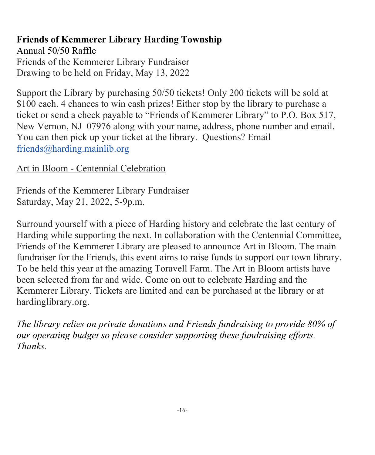#### **Friends of Kemmerer Library Harding Township**  Annual 50/50 Raffle Friends of the Kemmerer Library Fundraiser

Drawing to be held on Friday, May 13, 2022

Support the Library by purchasing 50/50 tickets! Only 200 tickets will be sold at \$100 each. 4 chances to win cash prizes! Either stop by the library to purchase a ticket or send a check payable to "Friends of Kemmerer Library" to P.O. Box 517, New Vernon, NJ 07976 along with your name, address, phone number and email. You can then pick up your ticket at the library. Questions? Email friends@harding.mainlib.org

#### Art in Bloom - Centennial Celebration

Friends of the Kemmerer Library Fundraiser Saturday, May 21, 2022, 5-9p.m.

Surround yourself with a piece of Harding history and celebrate the last century of Harding while supporting the next. In collaboration with the Centennial Committee, Friends of the Kemmerer Library are pleased to announce Art in Bloom. The main fundraiser for the Friends, this event aims to raise funds to support our town library. To be held this year at the amazing Toravell Farm. The Art in Bloom artists have been selected from far and wide. Come on out to celebrate Harding and the Kemmerer Library. Tickets are limited and can be purchased at the library or at hardinglibrary.org.

*The library relies on private donations and Friends fundraising to provide 80% of our operating budget so please consider supporting these fundraising efforts. Thanks.*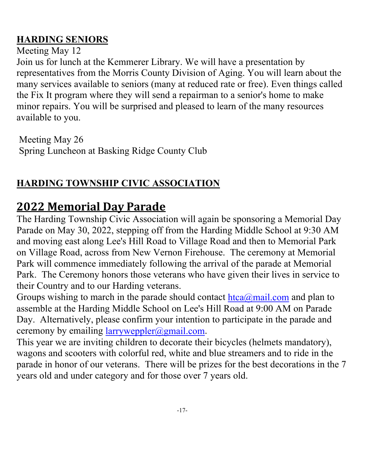#### **HARDING SENIORS**

#### Meeting May 12

Join us for lunch at the Kemmerer Library. We will have a presentation by representatives from the Morris County Division of Aging. You will learn about the many services available to seniors (many at reduced rate or free). Even things called the Fix It program where they will send a repairman to a senior's home to make minor repairs. You will be surprised and pleased to learn of the many resources available to you.

Meeting May 26 Spring Luncheon at Basking Ridge County Club

### **HARDING TOWNSHIP CIVIC ASSOCIATION**

## **2022 Memorial Day Parade**

The Harding Township Civic Association will again be sponsoring a Memorial Day Parade on May 30, 2022, stepping off from the Harding Middle School at 9:30 AM and moving east along Lee's Hill Road to Village Road and then to Memorial Park on Village Road, across from New Vernon Firehouse. The ceremony at Memorial Park will commence immediately following the arrival of the parade at Memorial Park. The Ceremony honors those veterans who have given their lives in service to their Country and to our Harding veterans.

Groups wishing to march in the parade should contact  $htea@mail.com$  and plan to assemble at the Harding Middle School on Lee's Hill Road at 9:00 AM on Parade Day. Alternatively, please confirm your intention to participate in the parade and ceremony by emailing  $larrweppler@gmail.com$ .

This year we are inviting children to decorate their bicycles (helmets mandatory), wagons and scooters with colorful red, white and blue streamers and to ride in the parade in honor of our veterans. There will be prizes for the best decorations in the 7 years old and under category and for those over 7 years old.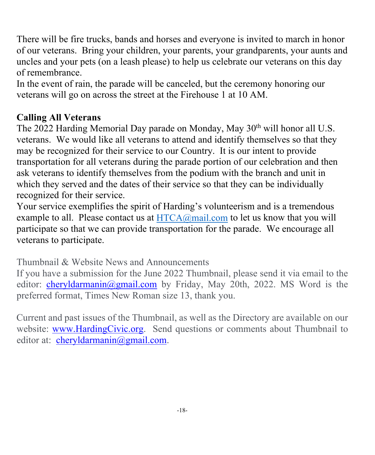There will be fire trucks, bands and horses and everyone is invited to march in honor of our veterans. Bring your children, your parents, your grandparents, your aunts and uncles and your pets (on a leash please) to help us celebrate our veterans on this day of remembrance.

In the event of rain, the parade will be canceled, but the ceremony honoring our veterans will go on across the street at the Firehouse 1 at 10 AM.

#### **Calling All Veterans**

The 2022 Harding Memorial Day parade on Monday, May 30<sup>th</sup> will honor all U.S. veterans. We would like all veterans to attend and identify themselves so that they may be recognized for their service to our Country. It is our intent to provide transportation for all veterans during the parade portion of our celebration and then ask veterans to identify themselves from the podium with the branch and unit in which they served and the dates of their service so that they can be individually recognized for their service.

Your service exemplifies the spirit of Harding's volunteerism and is a tremendous example to all. Please contact us at  $HTCA@mail.com$  to let us know that you will participate so that we can provide transportation for the parade. We encourage all veterans to participate.

Thumbnail & Website News and Announcements

If you have a submission for the June 2022 Thumbnail, please send it via email to the editor: cheryldarmanin@gmail.com by Friday, May 20th, 2022. MS Word is the preferred format, Times New Roman size 13, thank you.

Current and past issues of the Thumbnail, as well as the Directory are available on our website: www.HardingCivic.org. Send questions or comments about Thumbnail to editor at: cheryldarmanin@gmail.com.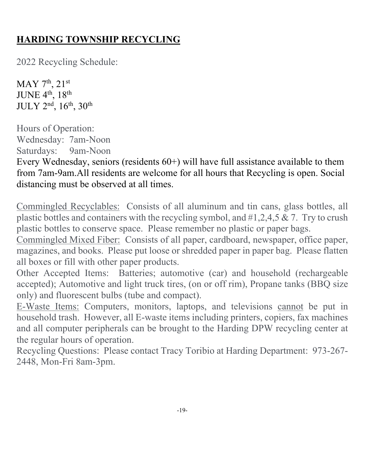#### **HARDING TOWNSHIP RECYCLING**

2022 Recycling Schedule:

 $MAY$  7<sup>th</sup>, 21<sup>st</sup> JUNE 4th, 18th JULY 2nd, 16th, 30th

Hours of Operation: Wednesday: 7am-Noon Saturdays: 9am-Noon

Every Wednesday, seniors (residents 60+) will have full assistance available to them from 7am-9am.All residents are welcome for all hours that Recycling is open. Social distancing must be observed at all times.

Commingled Recyclables: Consists of all aluminum and tin cans, glass bottles, all plastic bottles and containers with the recycling symbol, and  $#1,2,4,5 \& 7$ . Try to crush plastic bottles to conserve space. Please remember no plastic or paper bags.

Commingled Mixed Fiber: Consists of all paper, cardboard, newspaper, office paper, magazines, and books. Please put loose or shredded paper in paper bag. Please flatten all boxes or fill with other paper products.

Other Accepted Items: Batteries; automotive (car) and household (rechargeable accepted); Automotive and light truck tires, (on or off rim), Propane tanks (BBQ size only) and fluorescent bulbs (tube and compact).

E-Waste Items: Computers, monitors, laptops, and televisions cannot be put in household trash. However, all E-waste items including printers, copiers, fax machines and all computer peripherals can be brought to the Harding DPW recycling center at the regular hours of operation.

Recycling Questions: Please contact Tracy Toribio at Harding Department: 973-267- 2448, Mon-Fri 8am-3pm.